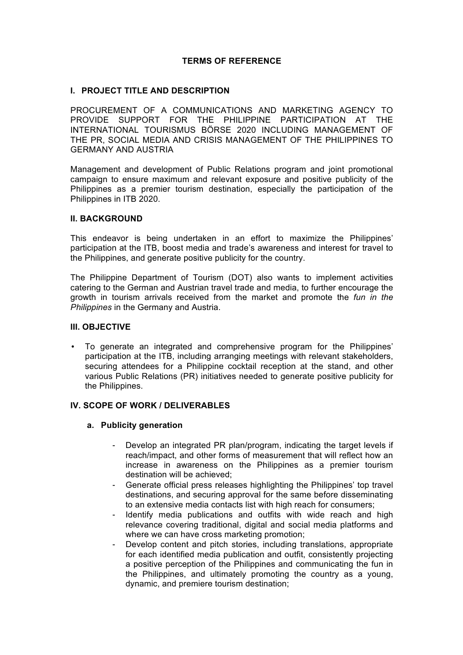## **TERMS OF REFERENCE**

#### **I. PROJECT TITLE AND DESCRIPTION**

PROCUREMENT OF A COMMUNICATIONS AND MARKETING AGENCY TO PROVIDE SUPPORT FOR THE PHILIPPINE PARTICIPATION AT THE INTERNATIONAL TOURISMUS BÖRSE 2020 INCLUDING MANAGEMENT OF THE PR, SOCIAL MEDIA AND CRISIS MANAGEMENT OF THE PHILIPPINES TO GERMANY AND AUSTRIA

Management and development of Public Relations program and joint promotional campaign to ensure maximum and relevant exposure and positive publicity of the Philippines as a premier tourism destination, especially the participation of the Philippines in ITB 2020.

#### **II. BACKGROUND**

This endeavor is being undertaken in an effort to maximize the Philippines' participation at the ITB, boost media and trade's awareness and interest for travel to the Philippines, and generate positive publicity for the country.

The Philippine Department of Tourism (DOT) also wants to implement activities catering to the German and Austrian travel trade and media, to further encourage the growth in tourism arrivals received from the market and promote the *fun in the Philippines* in the Germany and Austria.

#### **III. OBJECTIVE**

• To generate an integrated and comprehensive program for the Philippines' participation at the ITB, including arranging meetings with relevant stakeholders, securing attendees for a Philippine cocktail reception at the stand, and other various Public Relations (PR) initiatives needed to generate positive publicity for the Philippines.

#### **IV. SCOPE OF WORK / DELIVERABLES**

#### **a. Publicity generation**

- Develop an integrated PR plan/program, indicating the target levels if reach/impact, and other forms of measurement that will reflect how an increase in awareness on the Philippines as a premier tourism destination will be achieved;
- Generate official press releases highlighting the Philippines' top travel destinations, and securing approval for the same before disseminating to an extensive media contacts list with high reach for consumers;
- Identify media publications and outfits with wide reach and high relevance covering traditional, digital and social media platforms and where we can have cross marketing promotion;
- Develop content and pitch stories, including translations, appropriate for each identified media publication and outfit, consistently projecting a positive perception of the Philippines and communicating the fun in the Philippines, and ultimately promoting the country as a young, dynamic, and premiere tourism destination;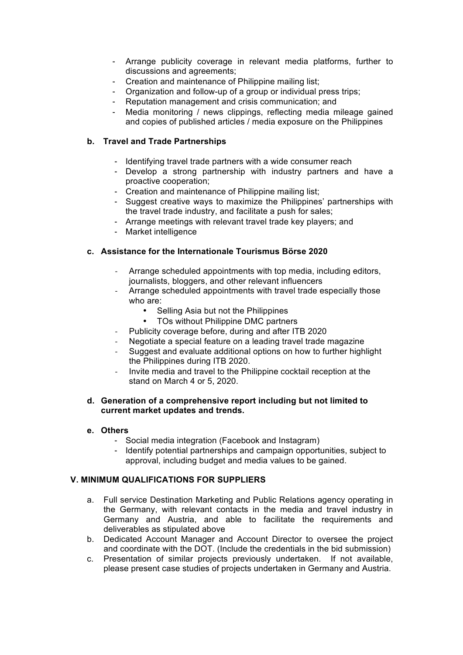- Arrange publicity coverage in relevant media platforms, further to discussions and agreements;
- Creation and maintenance of Philippine mailing list;
- Organization and follow-up of a group or individual press trips;
- Reputation management and crisis communication; and
- Media monitoring / news clippings, reflecting media mileage gained and copies of published articles / media exposure on the Philippines

## **b. Travel and Trade Partnerships**

- Identifying travel trade partners with a wide consumer reach
- Develop a strong partnership with industry partners and have a proactive cooperation;
- Creation and maintenance of Philippine mailing list;
- Suggest creative ways to maximize the Philippines' partnerships with the travel trade industry, and facilitate a push for sales;
- Arrange meetings with relevant travel trade key players; and
- Market intelligence

## **c. Assistance for the Internationale Tourismus Börse 2020**

- Arrange scheduled appointments with top media, including editors, journalists, bloggers, and other relevant influencers
- Arrange scheduled appointments with travel trade especially those who are:
	- Selling Asia but not the Philippines
	- TOs without Philippine DMC partners
- Publicity coverage before, during and after ITB 2020
- Negotiate a special feature on a leading travel trade magazine
- Suggest and evaluate additional options on how to further highlight the Philippines during ITB 2020.
- Invite media and travel to the Philippine cocktail reception at the stand on March 4 or 5, 2020.

#### **d. Generation of a comprehensive report including but not limited to current market updates and trends.**

## **e. Others**

- Social media integration (Facebook and Instagram)
- Identify potential partnerships and campaign opportunities, subject to approval, including budget and media values to be gained.

## **V. MINIMUM QUALIFICATIONS FOR SUPPLIERS**

- a. Full service Destination Marketing and Public Relations agency operating in the Germany, with relevant contacts in the media and travel industry in Germany and Austria, and able to facilitate the requirements and deliverables as stipulated above
- b. Dedicated Account Manager and Account Director to oversee the project and coordinate with the DOT. (Include the credentials in the bid submission)
- c. Presentation of similar projects previously undertaken. If not available, please present case studies of projects undertaken in Germany and Austria.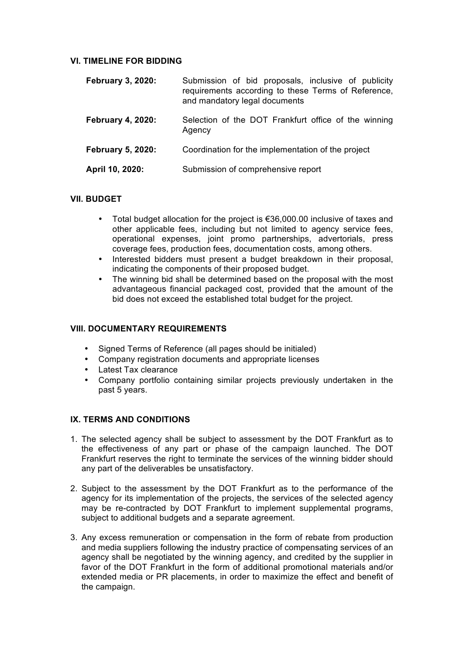#### **VI. TIMELINE FOR BIDDING**

| <b>February 3, 2020:</b> | Submission of bid proposals, inclusive of publicity<br>requirements according to these Terms of Reference,<br>and mandatory legal documents |
|--------------------------|---------------------------------------------------------------------------------------------------------------------------------------------|
| <b>February 4, 2020:</b> | Selection of the DOT Frankfurt office of the winning<br>Agency                                                                              |
| <b>February 5, 2020:</b> | Coordination for the implementation of the project                                                                                          |
| April 10, 2020:          | Submission of comprehensive report                                                                                                          |

## **VII. BUDGET**

- Total budget allocation for the project is €36,000.00 inclusive of taxes and other applicable fees, including but not limited to agency service fees, operational expenses, joint promo partnerships, advertorials, press coverage fees, production fees, documentation costs, among others.
- Interested bidders must present a budget breakdown in their proposal, indicating the components of their proposed budget.
- The winning bid shall be determined based on the proposal with the most advantageous financial packaged cost, provided that the amount of the bid does not exceed the established total budget for the project.

## **VIII. DOCUMENTARY REQUIREMENTS**

- Signed Terms of Reference (all pages should be initialed)
- Company registration documents and appropriate licenses
- Latest Tax clearance
- Company portfolio containing similar projects previously undertaken in the past 5 years.

## **IX. TERMS AND CONDITIONS**

- 1. The selected agency shall be subject to assessment by the DOT Frankfurt as to the effectiveness of any part or phase of the campaign launched. The DOT Frankfurt reserves the right to terminate the services of the winning bidder should any part of the deliverables be unsatisfactory.
- 2. Subject to the assessment by the DOT Frankfurt as to the performance of the agency for its implementation of the projects, the services of the selected agency may be re-contracted by DOT Frankfurt to implement supplemental programs, subject to additional budgets and a separate agreement.
- 3. Any excess remuneration or compensation in the form of rebate from production and media suppliers following the industry practice of compensating services of an agency shall be negotiated by the winning agency, and credited by the supplier in favor of the DOT Frankfurt in the form of additional promotional materials and/or extended media or PR placements, in order to maximize the effect and benefit of the campaign.